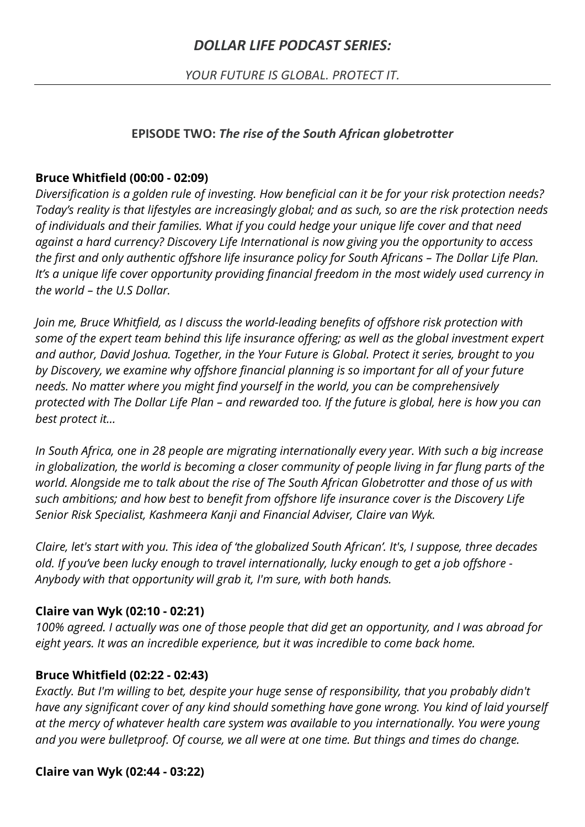# *DOLLAR LIFE PODCAST SERIES:*

*YOUR FUTURE IS GLOBAL. PROTECT IT.*

#### **EPISODE TWO:** *The rise of the South African globetrotter*

#### **Bruce Whitfield (00:00 - 02:09)**

*Diversification is a golden rule of investing. How beneficial can it be for your risk protection needs? Today's reality is that lifestyles are increasingly global; and as such, so are the risk protection needs of individuals and their families. What if you could hedge your unique life cover and that need against a hard currency? Discovery Life International is now giving you the opportunity to access the first and only authentic offshore life insurance policy for South Africans – The Dollar Life Plan. It's a unique life cover opportunity providing financial freedom in the most widely used currency in the world – the U.S Dollar.* 

*Join me, Bruce Whitfield, as I discuss the world-leading benefits of offshore risk protection with some of the expert team behind this life insurance offering; as well as the global investment expert and author, David Joshua. Together, in the Your Future is Global. Protect it series, brought to you by Discovery, we examine why offshore financial planning is so important for all of your future needs. No matter where you might find yourself in the world, you can be comprehensively protected with The Dollar Life Plan – and rewarded too. If the future is global, here is how you can best protect it…*

*In South Africa, one in 28 people are migrating internationally every year. With such a big increase in globalization, the world is becoming a closer community of people living in far flung parts of the world. Alongside me to talk about the rise of The South African Globetrotter and those of us with such ambitions; and how best to benefit from offshore life insurance cover is the Discovery Life Senior Risk Specialist, Kashmeera Kanji and Financial Adviser, Claire van Wyk.*

*Claire, let's start with you. This idea of 'the globalized South African'. It's, I suppose, three decades old. If you've been lucky enough to travel internationally, lucky enough to get a job offshore - Anybody with that opportunity will grab it, I'm sure, with both hands.*

#### **Claire van Wyk (02:10 - 02:21)**

*100% agreed. I actually was one of those people that did get an opportunity, and I was abroad for eight years. It was an incredible experience, but it was incredible to come back home.*

#### **Bruce Whitfield (02:22 - 02:43)**

*Exactly. But I'm willing to bet, despite your huge sense of responsibility, that you probably didn't have any significant cover of any kind should something have gone wrong. You kind of laid yourself at the mercy of whatever health care system was available to you internationally. You were young and you were bulletproof. Of course, we all were at one time. But things and times do change.*

#### **Claire van Wyk (02:44 - 03:22)**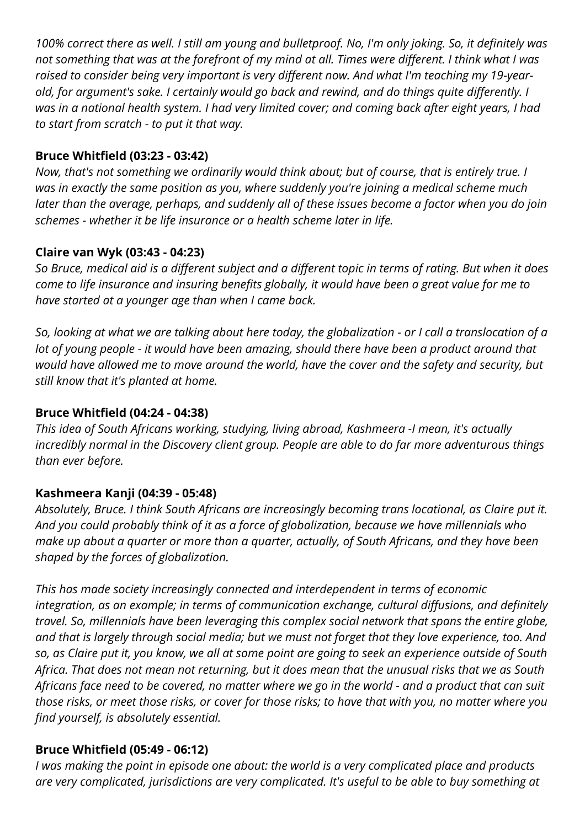*100% correct there as well. I still am young and bulletproof. No, I'm only joking. So, it definitely was not something that was at the forefront of my mind at all. Times were different. I think what I was raised to consider being very important is very different now. And what I'm teaching my 19-yearold, for argument's sake. I certainly would go back and rewind, and do things quite differently. I was in a national health system. I had very limited cover; and coming back after eight years, I had to start from scratch - to put it that way.*

#### **Bruce Whitfield (03:23 - 03:42)**

*Now, that's not something we ordinarily would think about; but of course, that is entirely true. I was in exactly the same position as you, where suddenly you're joining a medical scheme much later than the average, perhaps, and suddenly all of these issues become a factor when you do join schemes - whether it be life insurance or a health scheme later in life.*

## **Claire van Wyk (03:43 - 04:23)**

*So Bruce, medical aid is a different subject and a different topic in terms of rating. But when it does come to life insurance and insuring benefits globally, it would have been a great value for me to have started at a younger age than when I came back.*

*So, looking at what we are talking about here today, the globalization - or I call a translocation of a lot of young people - it would have been amazing, should there have been a product around that would have allowed me to move around the world, have the cover and the safety and security, but still know that it's planted at home.*

### **Bruce Whitfield (04:24 - 04:38)**

*This idea of South Africans working, studying, living abroad, Kashmeera -I mean, it's actually incredibly normal in the Discovery client group. People are able to do far more adventurous things than ever before.*

## **Kashmeera Kanji (04:39 - 05:48)**

*Absolutely, Bruce. I think South Africans are increasingly becoming trans locational, as Claire put it. And you could probably think of it as a force of globalization, because we have millennials who make up about a quarter or more than a quarter, actually, of South Africans, and they have been shaped by the forces of globalization.*

*This has made society increasingly connected and interdependent in terms of economic integration, as an example; in terms of communication exchange, cultural diffusions, and definitely travel. So, millennials have been leveraging this complex social network that spans the entire globe, and that is largely through social media; but we must not forget that they love experience, too. And so, as Claire put it, you know, we all at some point are going to seek an experience outside of South Africa. That does not mean not returning, but it does mean that the unusual risks that we as South Africans face need to be covered, no matter where we go in the world - and a product that can suit those risks, or meet those risks, or cover for those risks; to have that with you, no matter where you find yourself, is absolutely essential.*

## **Bruce Whitfield (05:49 - 06:12)**

*I was making the point in episode one about: the world is a very complicated place and products are very complicated, jurisdictions are very complicated. It's useful to be able to buy something at*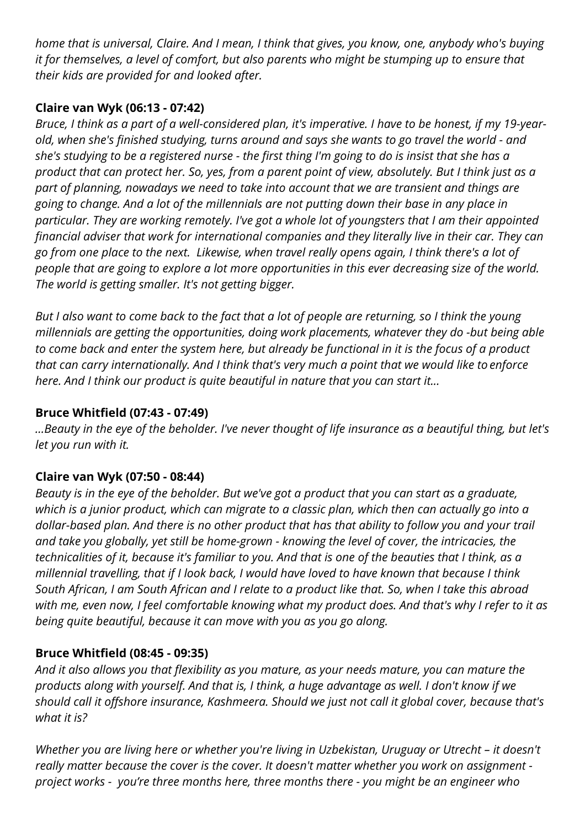*home that is universal, Claire. And I mean, I think that gives, you know, one, anybody who's buying it for themselves, a level of comfort, but also parents who might be stumping up to ensure that their kids are provided for and looked after.*

## **Claire van Wyk (06:13 - 07:42)**

*Bruce, I think as a part of a well-considered plan, it's imperative. I have to be honest, if my 19-yearold, when she's finished studying, turns around and says she wants to go travel the world - and she's studying to be a registered nurse - the first thing I'm going to do is insist that she has a product that can protect her. So, yes, from a parent point of view, absolutely. But I think just as a part of planning, nowadays we need to take into account that we are transient and things are going to change. And a lot of the millennials are not putting down their base in any place in particular. They are working remotely. I've got a whole lot of youngsters that I am their appointed financial adviser that work for international companies and they literally live in their car. They can go from one place to the next. Likewise, when travel really opens again, I think there's a lot of people that are going to explore a lot more opportunities in this ever decreasing size of the world. The world is getting smaller. It's not getting bigger.* 

*But I also want to come back to the fact that a lot of people are returning, so I think the young millennials are getting the opportunities, doing work placements, whatever they do -but being able to come back and enter the system here, but already be functional in it is the focus of a product that can carry internationally. And I think that's very much a point that we would like to enforce here. And I think our product is quite beautiful in nature that you can start it...*

# **Bruce Whitfield (07:43 - 07:49)**

*…Beauty in the eye of the beholder. I've never thought of life insurance as a beautiful thing, but let's let you run with it.* 

# **Claire van Wyk (07:50 - 08:44)**

*Beauty is in the eye of the beholder. But we've got a product that you can start as a graduate, which is a junior product, which can migrate to a classic plan, which then can actually go into a dollar-based plan. And there is no other product that has that ability to follow you and your trail and take you globally, yet still be home-grown - knowing the level of cover, the intricacies, the technicalities of it, because it's familiar to you. And that is one of the beauties that I think, as a millennial travelling, that if I look back, I would have loved to have known that because I think South African, I am South African and I relate to a product like that. So, when I take this abroad with me, even now, I feel comfortable knowing what my product does. And that's why I refer to it as being quite beautiful, because it can move with you as you go along.*

## **Bruce Whitfield (08:45 - 09:35)**

*And it also allows you that flexibility as you mature, as your needs mature, you can mature the products along with yourself. And that is, I think, a huge advantage as well. I don't know if we should call it offshore insurance, Kashmeera. Should we just not call it global cover, because that's what it is?*

*Whether you are living here or whether you're living in Uzbekistan, Uruguay or Utrecht – it doesn't really matter because the cover is the cover. It doesn't matter whether you work on assignment project works - you're three months here, three months there - you might be an engineer who*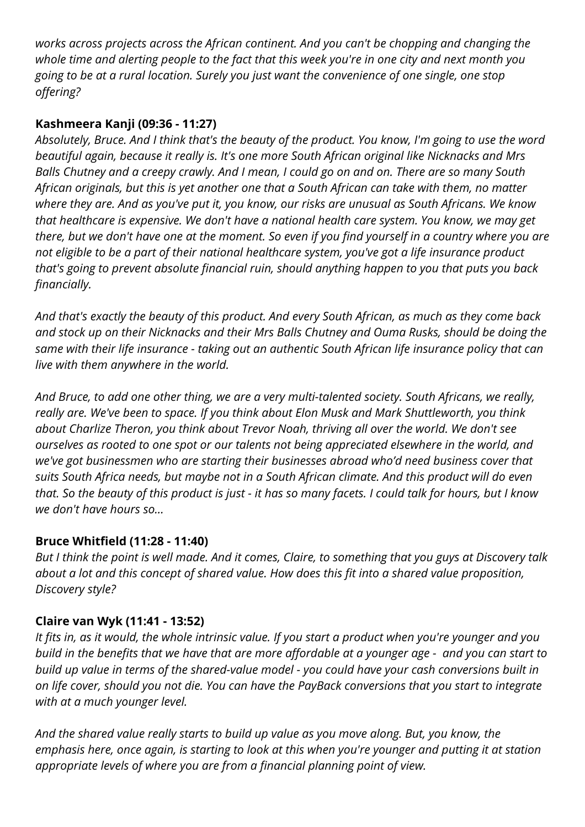*works across projects across the African continent. And you can't be chopping and changing the whole time and alerting people to the fact that this week you're in one city and next month you going to be at a rural location. Surely you just want the convenience of one single, one stop offering?*

## **Kashmeera Kanji (09:36 - 11:27)**

*Absolutely, Bruce. And I think that's the beauty of the product. You know, I'm going to use the word beautiful again, because it really is. It's one more South African original like Nicknacks and Mrs Balls Chutney and a creepy crawly. And I mean, I could go on and on. There are so many South African originals, but this is yet another one that a South African can take with them, no matter where they are. And as you've put it, you know, our risks are unusual as South Africans. We know that healthcare is expensive. We don't have a national health care system. You know, we may get there, but we don't have one at the moment. So even if you find yourself in a country where you are not eligible to be a part of their national healthcare system, you've got a life insurance product that's going to prevent absolute financial ruin, should anything happen to you that puts you back financially.*

*And that's exactly the beauty of this product. And every South African, as much as they come back and stock up on their Nicknacks and their Mrs Balls Chutney and Ouma Rusks, should be doing the same with their life insurance - taking out an authentic South African life insurance policy that can live with them anywhere in the world.*

*And Bruce, to add one other thing, we are a very multi-talented society. South Africans, we really, really are. We've been to space. If you think about Elon Musk and Mark Shuttleworth, you think about Charlize Theron, you think about Trevor Noah, thriving all over the world. We don't see ourselves as rooted to one spot or our talents not being appreciated elsewhere in the world, and we've got businessmen who are starting their businesses abroad who'd need business cover that suits South Africa needs, but maybe not in a South African climate. And this product will do even that. So the beauty of this product is just - it has so many facets. I could talk for hours, but I know we don't have hours so…*

## **Bruce Whitfield (11:28 - 11:40)**

*But I think the point is well made. And it comes, Claire, to something that you guys at Discovery talk about a lot and this concept of shared value. How does this fit into a shared value proposition, Discovery style?*

## **Claire van Wyk (11:41 - 13:52)**

*It fits in, as it would, the whole intrinsic value. If you start a product when you're younger and you build in the benefits that we have that are more affordable at a younger age - and you can start to build up value in terms of the shared-value model - you could have your cash conversions built in on life cover, should you not die. You can have the PayBack conversions that you start to integrate with at a much younger level.*

*And the shared value really starts to build up value as you move along. But, you know, the emphasis here, once again, is starting to look at this when you're younger and putting it at station appropriate levels of where you are from a financial planning point of view.*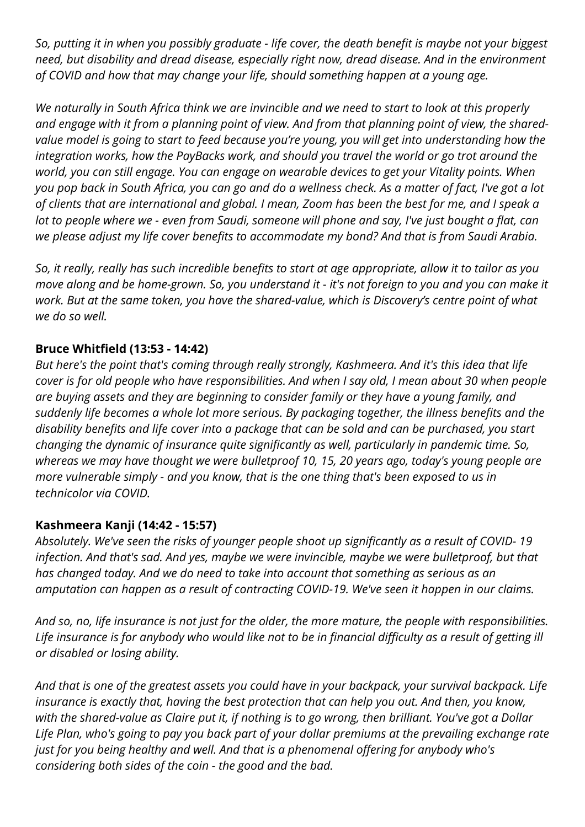*So, putting it in when you possibly graduate - life cover, the death benefit is maybe not your biggest need, but disability and dread disease, especially right now, dread disease. And in the environment of COVID and how that may change your life, should something happen at a young age.*

*We naturally in South Africa think we are invincible and we need to start to look at this properly and engage with it from a planning point of view. And from that planning point of view, the sharedvalue model is going to start to feed because you're young, you will get into understanding how the integration works, how the PayBacks work, and should you travel the world or go trot around the world, you can still engage. You can engage on wearable devices to get your Vitality points. When you pop back in South Africa, you can go and do a wellness check. As a matter of fact, I've got a lot of clients that are international and global. I mean, Zoom has been the best for me, and I speak a lot to people where we - even from Saudi, someone will phone and say, I've just bought a flat, can we please adjust my life cover benefits to accommodate my bond? And that is from Saudi Arabia.*

*So, it really, really has such incredible benefits to start at age appropriate, allow it to tailor as you move along and be home-grown. So, you understand it - it's not foreign to you and you can make it work. But at the same token, you have the shared-value, which is Discovery's centre point of what we do so well.*

### **Bruce Whitfield (13:53 - 14:42)**

*But here's the point that's coming through really strongly, Kashmeera. And it's this idea that life cover is for old people who have responsibilities. And when I say old, I mean about 30 when people are buying assets and they are beginning to consider family or they have a young family, and suddenly life becomes a whole lot more serious. By packaging together, the illness benefits and the disability benefits and life cover into a package that can be sold and can be purchased, you start changing the dynamic of insurance quite significantly as well, particularly in pandemic time. So, whereas we may have thought we were bulletproof 10, 15, 20 years ago, today's young people are more vulnerable simply - and you know, that is the one thing that's been exposed to us in technicolor via COVID.*

#### **Kashmeera Kanji (14:42 - 15:57)**

*Absolutely. We've seen the risks of younger people shoot up significantly as a result of COVID- 19 infection. And that's sad. And yes, maybe we were invincible, maybe we were bulletproof, but that has changed today. And we do need to take into account that something as serious as an amputation can happen as a result of contracting COVID-19. We've seen it happen in our claims.* 

*And so, no, life insurance is not just for the older, the more mature, the people with responsibilities. Life insurance is for anybody who would like not to be in financial difficulty as a result of getting ill or disabled or losing ability.*

*And that is one of the greatest assets you could have in your backpack, your survival backpack. Life insurance is exactly that, having the best protection that can help you out. And then, you know, with the shared-value as Claire put it, if nothing is to go wrong, then brilliant. You've got a Dollar Life Plan, who's going to pay you back part of your dollar premiums at the prevailing exchange rate just for you being healthy and well. And that is a phenomenal offering for anybody who's considering both sides of the coin - the good and the bad.*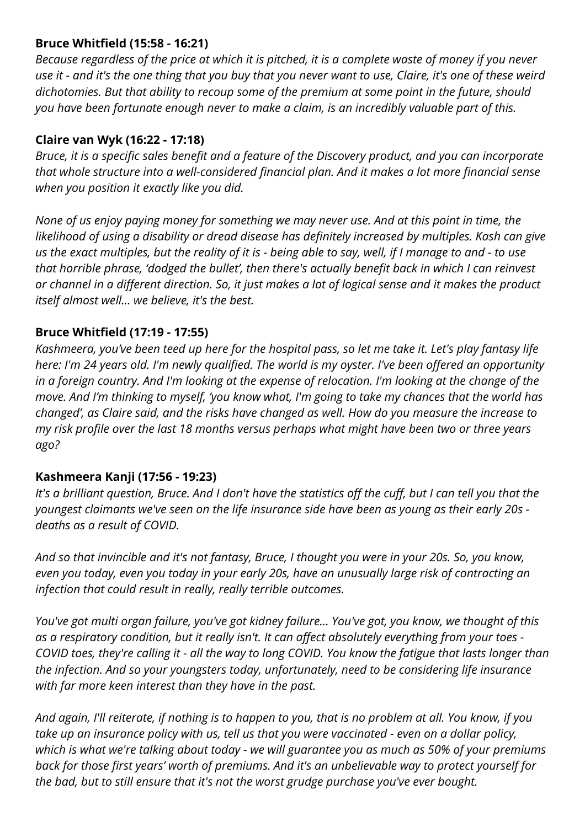#### **Bruce Whitfield (15:58 - 16:21)**

*Because regardless of the price at which it is pitched, it is a complete waste of money if you never use it - and it's the one thing that you buy that you never want to use, Claire, it's one of these weird dichotomies. But that ability to recoup some of the premium at some point in the future, should you have been fortunate enough never to make a claim, is an incredibly valuable part of this.*

## **Claire van Wyk (16:22 - 17:18)**

*Bruce, it is a specific sales benefit and a feature of the Discovery product, and you can incorporate that whole structure into a well-considered financial plan. And it makes a lot more financial sense when you position it exactly like you did.*

*None of us enjoy paying money for something we may never use. And at this point in time, the likelihood of using a disability or dread disease has definitely increased by multiples. Kash can give us the exact multiples, but the reality of it is - being able to say, well, if I manage to and - to use that horrible phrase, 'dodged the bullet', then there's actually benefit back in which I can reinvest or channel in a different direction. So, it just makes a lot of logical sense and it makes the product itself almost well… we believe, it's the best.*

### **Bruce Whitfield (17:19 - 17:55)**

*Kashmeera, you've been teed up here for the hospital pass, so let me take it. Let's play fantasy life here: I'm 24 years old. I'm newly qualified. The world is my oyster. I've been offered an opportunity in a foreign country. And I'm looking at the expense of relocation. I'm looking at the change of the move. And I'm thinking to myself, 'you know what, I'm going to take my chances that the world has changed', as Claire said, and the risks have changed as well. How do you measure the increase to my risk profile over the last 18 months versus perhaps what might have been two or three years ago?*

## **Kashmeera Kanji (17:56 - 19:23)**

*It's a brilliant question, Bruce. And I don't have the statistics off the cuff, but I can tell you that the youngest claimants we've seen on the life insurance side have been as young as their early 20s deaths as a result of COVID.*

*And so that invincible and it's not fantasy, Bruce, I thought you were in your 20s. So, you know, even you today, even you today in your early 20s, have an unusually large risk of contracting an infection that could result in really, really terrible outcomes.*

*You've got multi organ failure, you've got kidney failure… You've got, you know, we thought of this as a respiratory condition, but it really isn't. It can affect absolutely everything from your toes - COVID toes, they're calling it - all the way to long COVID. You know the fatigue that lasts longer than the infection. And so your youngsters today, unfortunately, need to be considering life insurance with far more keen interest than they have in the past.*

*And again, I'll reiterate, if nothing is to happen to you, that is no problem at all. You know, if you take up an insurance policy with us, tell us that you were vaccinated - even on a dollar policy, which is what we're talking about today - we will guarantee you as much as 50% of your premiums back for those first years' worth of premiums. And it's an unbelievable way to protect yourself for the bad, but to still ensure that it's not the worst grudge purchase you've ever bought.*